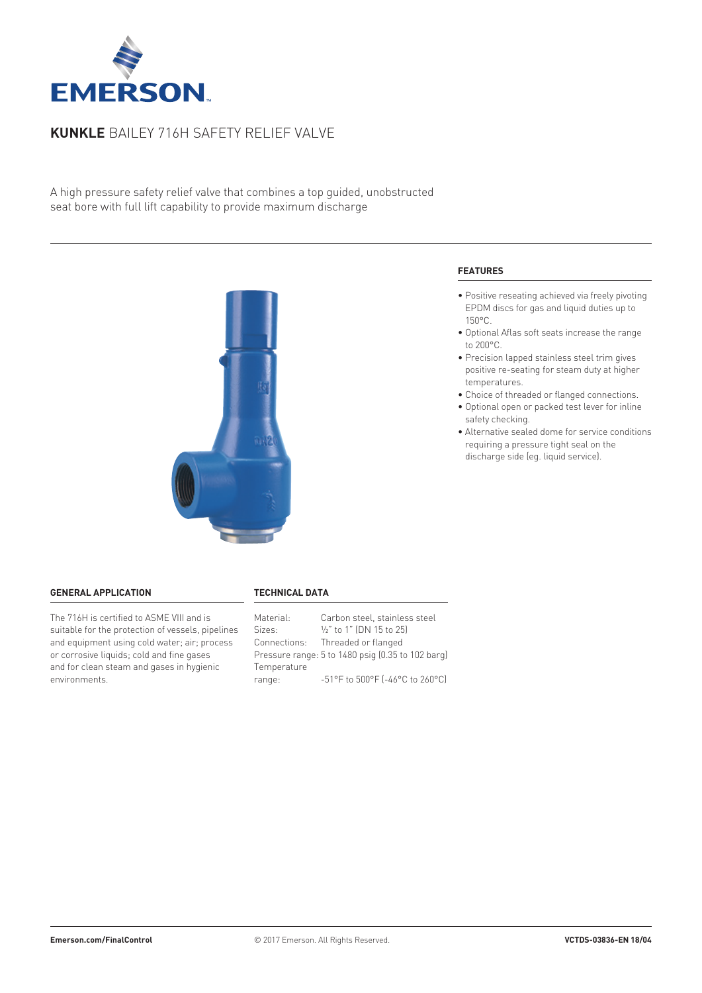

# **Kunkle** Bailey 716H safety relief valve

A high pressure safety relief valve that combines a top guided, unobstructed seat bore with full lift capability to provide maximum discharge



#### **General application**

The 716H is certified to ASME VIII and is suitable for the protection of vessels, pipelines and equipment using cold water; air; process or corrosive liquids; cold and fine gases and for clean steam and gases in hygienic environments.

#### **Technical data**

| Material:   | Carbon steel, stainless steel                                             |
|-------------|---------------------------------------------------------------------------|
| Sizes:      | 1/2" to 1" (DN 15 to 25)                                                  |
|             | Connections: Threaded or flanged                                          |
|             | Pressure range: 5 to 1480 psig (0.35 to 102 barg)                         |
| Temperature |                                                                           |
| range:      | $-51^{\circ}$ F to $500^{\circ}$ F ( $-46^{\circ}$ C to 260 $^{\circ}$ C) |

# **Features**

- Positive reseating achieved via freely pivoting EPDM discs for gas and liquid duties up to 150°C.
- Optional Aflas soft seats increase the range to 200°C.
- Precision lapped stainless steel trim gives positive re-seating for steam duty at higher temperatures.
- Choice of threaded or flanged connections.
- Optional open or packed test lever for inline safety checking.
- Alternative sealed dome for service conditions requiring a pressure tight seal on the discharge side (eg. liquid service).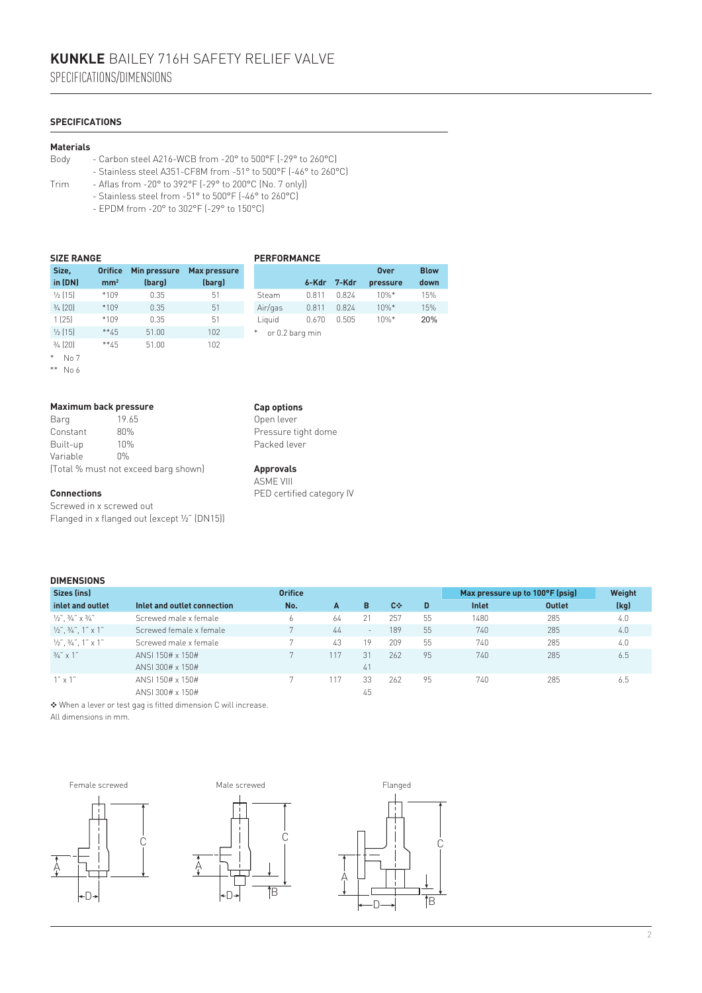# **Specifications**

#### **Materials**

- Body Carbon steel A216-WCB from -20° to 500°F (-29° to 260°C)
	- Stainless steel A351-CF8M from -51° to 500°F (-46° to 260°C)
- Trim Aflas from -20° to 392°F (-29° to 200°C (No. 7 only))
	- Stainless steel from -51° to 500°F (-46° to 260°C)
	- EPDM from -20° to 302°F (-29° to 150°C)

| <b>SIZE RANGE</b>  |                 |              |                     | <b>PERFORMANCE</b> |       |       |             |             |
|--------------------|-----------------|--------------|---------------------|--------------------|-------|-------|-------------|-------------|
| Size,              | <b>Orifice</b>  | Min pressure | <b>Max pressure</b> |                    |       |       | <b>Over</b> | <b>Blow</b> |
| in (DN)            | mm <sup>2</sup> | (barg)       | (barg)              |                    | 6-Kdr | 7-Kdr | pressure    | dowr        |
| $\frac{1}{2}$ [15] | *109            | 0.35         | 51                  | Steam              | 0.811 | 0.824 | $10\%$ *    | 15%         |
| $\frac{3}{4}$ (20) | $*109$          | 0.35         | 51                  | Air/gas            | 0.811 | 0.824 | $10\%$ *    | 15%         |
| 1(25)              | *109            | 0.35         | 51                  | Liauid             | 0.670 | 0.505 | $10\%$ *    | 20%         |
| $\frac{1}{2}$ [15] | $**45$          | 51.00        | 102                 | or 0.2 barg min    |       |       |             |             |
| $3/4$ (20)         | $**45$          | 51.00        | 102                 |                    |       |       |             |             |
|                    |                 |              |                     |                    |       |       |             |             |

 $*$  No 7

\*\* No 6

### **Maximum back pressure**

| Barg     | 19.65                                |
|----------|--------------------------------------|
| Constant | 80%                                  |
| Built-up | 10%                                  |
| Variable | $0\%$                                |
|          | (Total % must not exceed barg shown) |

#### **Connections**

Screwed in x screwed out Flanged in x flanged out (except ½" (DN15))

# **Cap options**

Open lever Pressure tight dome Packed lever

**Blow down**

# **Approvals**

ASME VIII PED certified category IV

#### **DIMENSIONS Sizes (ins) inlet and outlet Inlet and outlet connection Orifice No. A B C**❖ **D Max pressure up to 100°F (psig) Weight Inlet Outlet (kg)** 1/2",  $\frac{3}{4}$ " x 3/4" Screwed male x female 6 64 21 257 55 1480 285 4.0  $V_2$ ",  $V_3$ ", 1" Screwed female x female 7 44 - 189 55 740 285 4.0 ½", ¾", 1" x 1" Screwed male x female 7 43 19 209 55 740 285 4.0 ¾" x 1" ANSI 150# x 150# 7 117 31 262 95 740 285 6.5 ANSI 300# x 150# 41<br>ANSI 150# x 150# 41<br>ANSI 150# x 150# 41

1" x 1" ANSI 150# x 150# 7 117 33 262 95 740 285 6.5

ANSI 300# x 150# 45 ❖ When a lever or test gag is fitted dimension C will increase.

All dimensions in mm.

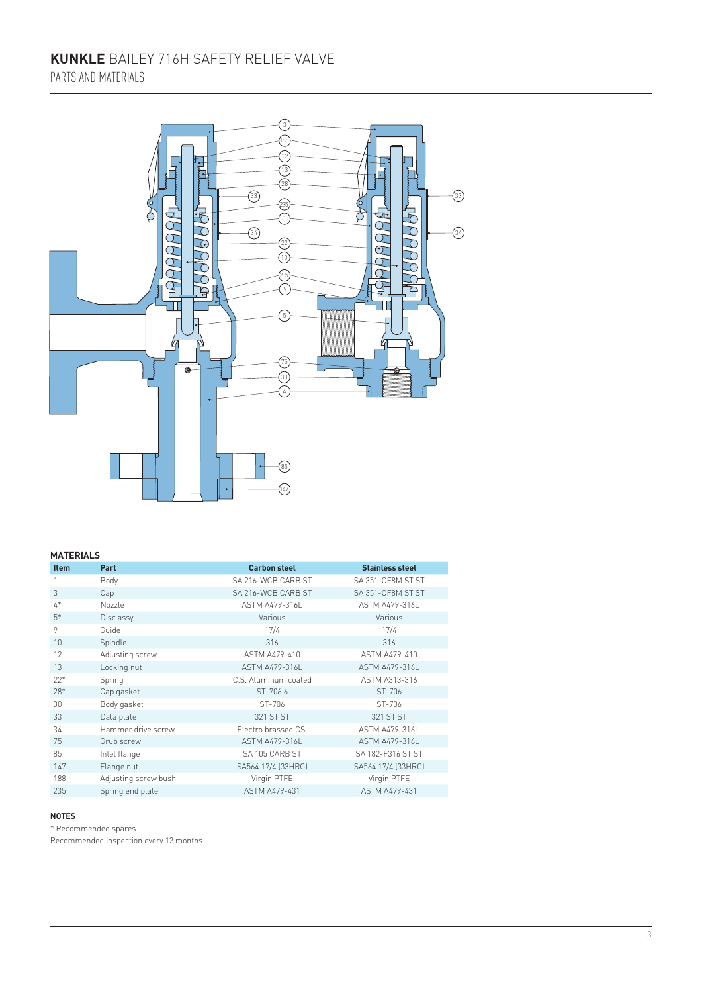# **Kunkle** Bailey 716H safety relief valve Parts and materials



# **Materials**

| <b>Item</b>    | Part                 | <b>Carbon steel</b>   | <b>Stainless steel</b> |
|----------------|----------------------|-----------------------|------------------------|
|                | Body                 | SA 216-WCB CARB ST    | SA 351-CF8M ST ST      |
| 3              | Cap                  | SA 216-WCB CARB ST    | SA 351-CF8M ST ST      |
| $\mathbf{A}^*$ | Nozzle               | <b>ASTM A479-316L</b> | <b>ASTM A479-316L</b>  |
| $5*$           | Disc assy.           | Various               | Various                |
| 9              | Guide                | 17/4                  | 17/4                   |
| 10             | Spindle              | 316                   | 316                    |
| 12             | Adjusting screw      | ASTM A479-410         | ASTM A479-410          |
| 13             | Locking nut          | <b>ASTM A479-316L</b> | ASTM A479-316L         |
| $22*$          | Spring               | C.S. Aluminum coated  | ASTM A313-316          |
| 28*            | Cap gasket           | ST-7066               | ST-706                 |
| 30             | Body gasket          | ST-706                | ST-706                 |
| 33             | Data plate           | 321 ST ST             | 321 ST ST              |
| 34             | Hammer drive screw   | Electro brassed CS.   | ASTM A479-316L         |
| 75             | Grub screw           | ASTM A479-316L        | ASTM A479-316L         |
| 85             | Inlet flange         | SA 105 CARB ST        | SA 182-F316 ST ST      |
| 147            | Flange nut           | SA564 17/4 [33HRC]    | SA564 17/4 (33HRC)     |
| 188            | Adjusting screw bush | Virgin PTFE           | Virgin PTFE            |
| 235            | Spring end plate     | <b>ASTM A479-431</b>  | <b>ASTM A479-431</b>   |

#### **Notes**

\* Recommended spares.

Recommended inspection every 12 months.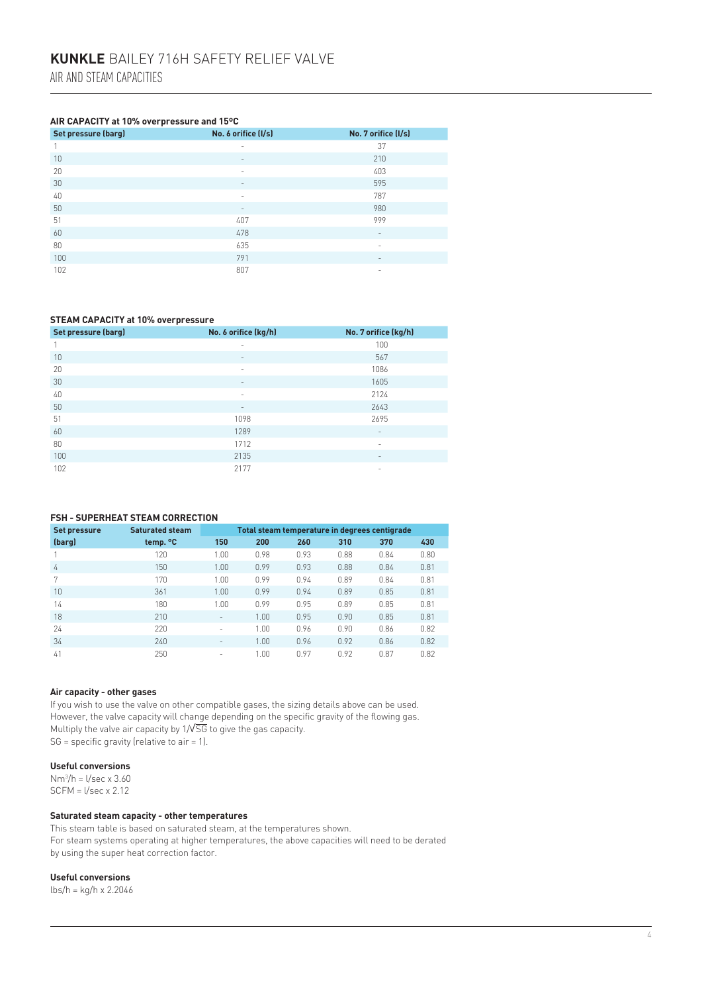#### **Air capacity at 10% overpressure and 15ºC**

| Set pressure (barg) | No. 6 orifice (I/s)      | No. 7 orifice (I/s)      |
|---------------------|--------------------------|--------------------------|
|                     | $\overline{\phantom{a}}$ | 37                       |
| 10                  | $\qquad \qquad$          | 210                      |
| 20                  | $\overline{\phantom{a}}$ | 403                      |
| 30                  | $\overline{\phantom{a}}$ | 595                      |
| 40                  | $\sim$                   | 787                      |
| 50                  | $\qquad \qquad =$        | 980                      |
| 51                  | 407                      | 999                      |
| 60                  | 478                      | $\overline{\phantom{a}}$ |
| 80                  | 635                      | ٠                        |
| 100                 | 791                      | $\overline{\phantom{a}}$ |
| 102                 | 807                      | ٠                        |

#### **Steam capacity at 10% overpressure**

| Set pressure (barg) | No. 6 orifice (kg/h)     | No. 7 orifice (kg/h)     |
|---------------------|--------------------------|--------------------------|
|                     | $\overline{\phantom{a}}$ | 100                      |
| 10                  | $\qquad \qquad =$        | 567                      |
| 20                  | $\overline{\phantom{a}}$ | 1086                     |
| 30                  | $\qquad \qquad =$        | 1605                     |
| 40                  | $\overline{\phantom{a}}$ | 2124                     |
| 50                  | $\qquad \qquad =$        | 2643                     |
| 51                  | 1098                     | 2695                     |
| 60                  | 1289                     | $\overline{\phantom{a}}$ |
| 80                  | 1712                     | -                        |
| 100                 | 2135                     | $\overline{\phantom{a}}$ |
| 102                 | 2177                     | ٠                        |

# **FSH - Superheat steam correction**

| Set pressure | <b>Saturated steam</b> | Total steam temperature in degrees centigrade |       |      |      |      |      |
|--------------|------------------------|-----------------------------------------------|-------|------|------|------|------|
| (barg)       | temp. °C               | 150                                           | 200   | 260  | 310  | 370  | 430  |
|              | 120                    | 1.00                                          | 0.98  | 0.93 | 0.88 | 0.84 | 0.80 |
| 4            | 150                    | 1.00                                          | 0.99  | 0.93 | 0.88 | 0.84 | 0.81 |
| 7            | 170                    | 1.00                                          | 0.99  | 0.94 | 0.89 | 0.84 | 0.81 |
| 10           | 361                    | 1.00                                          | 0.99  | 0.94 | 0.89 | 0.85 | 0.81 |
| 14           | 180                    | 1.00                                          | 0.99  | 0.95 | 0.89 | 0.85 | 0.81 |
| 18           | 210                    | $\overline{\phantom{a}}$                      | 1.00. | 0.95 | 0.90 | 0.85 | 0.81 |
| 24           | 220                    | $\overline{\phantom{a}}$                      | 1.00  | 0.96 | 0.90 | 0.86 | 0.82 |
| 34           | 240                    | $\overline{\phantom{0}}$                      | 1.00  | 0.96 | 0.92 | 0.86 | 0.82 |
| 41           | 250                    | $\overline{\phantom{a}}$                      | 1.00  | 0.97 | 0.92 | 0.87 | 0.82 |

#### **Air capacity - other gases**

If you wish to use the valve on other compatible gases, the sizing details above can be used. However, the valve capacity will change depending on the specific gravity of the flowing gas. Multiply the valve air capacity by  $1/\sqrt{SG}$  to give the gas capacity.  $SG = specific$  gravity (relative to air = 1).

# **Useful conversions**

Nm3 /h = l/sec x 3.60 SCFM = l/sec x 2.12

#### **Saturated steam capacity - other temperatures**

This steam table is based on saturated steam, at the temperatures shown. For steam systems operating at higher temperatures, the above capacities will need to be derated by using the super heat correction factor.

#### **Useful conversions**

lbs/h = kg/h x 2.2046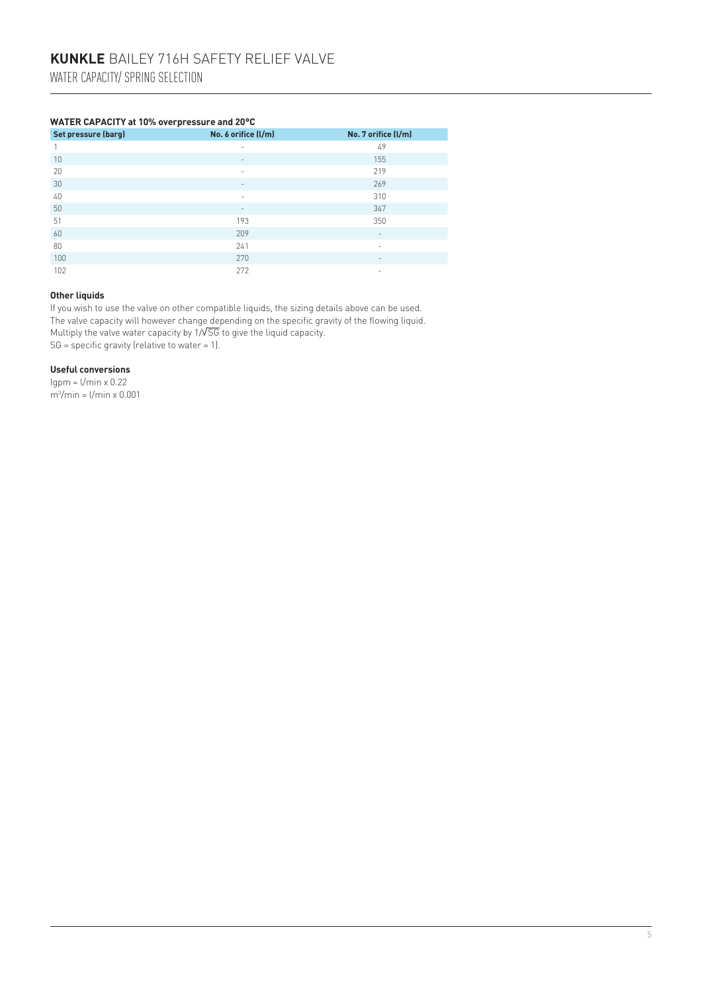# **Water capacity at 10% overpressure and 20°C**

| Set pressure (barg) | No. 6 orifice (l/m)          | No. 7 orifice (l/m)      |
|---------------------|------------------------------|--------------------------|
|                     | $\overline{\phantom{a}}$     | 49                       |
| 10                  | $\qquad \qquad \blacksquare$ | 155                      |
| 20                  | $\overline{\phantom{a}}$     | 219                      |
| 30                  | $\qquad \qquad$              | 269                      |
| 40                  | $\overline{\phantom{a}}$     | 310                      |
| 50                  | $\overline{\phantom{a}}$     | 347                      |
| 51                  | 193                          | 350                      |
| 60                  | 209                          | $\overline{\phantom{a}}$ |
| 80                  | 241                          | $\sim$                   |
| 100                 | 270                          | $\overline{\phantom{a}}$ |
| 102                 | 272                          | -                        |

### **Other liquids**

If you wish to use the valve on other compatible liquids, the sizing details above can be used. The valve capacity will however change depending on the specific gravity of the flowing liquid. Multiply the valve water capacity by 1/√SG to give the liquid capacity.  $SG = specific gravity (relative to water = 1).$ 

# **Useful conversions**

 $Igpm = I/min \times 0.22$ m3 /min = l/min x 0.001